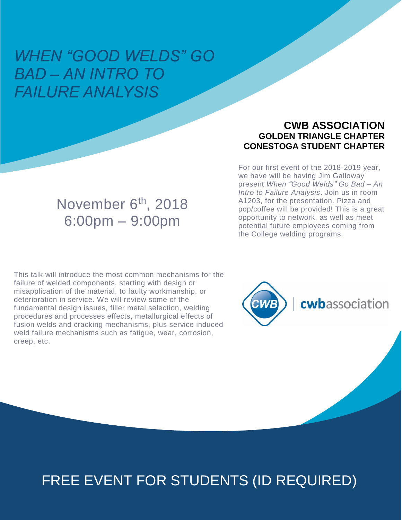## *WHEN "GOOD WELDS" GO BAD – AN INTRO TO FAILURE ANALYSIS*

#### **CWB ASSOCIATION GOLDEN TRIANGLE CHAPTER CONESTOGA STUDENT CHAPTER**

For our first event of the 2018-2019 year, we have will be having Jim Galloway present *When "Good Welds" Go Bad – An Intro to Failure Analysis*. Join us in room A1203, for the presentation. Pizza and pop/coffee will be provided! This is a great opportunity to network, as well as meet potential future employees coming from the College welding programs.

## November 6<sup>th</sup>, 2018 6:00pm – 9:00pm

This talk will introduce the most common mechanisms for the failure of welded components, starting with design or misapplication of the material, to faulty workmanship, or deterioration in service. We will review some of the fundamental design issues, filler metal selection, welding procedures and processes effects, metallurgical effects of fusion welds and cracking mechanisms, plus service induced weld failure mechanisms such as fatigue, wear, corrosion, creep, etc.



# FREE EVENT FOR STUDENTS (ID REQUIRED)